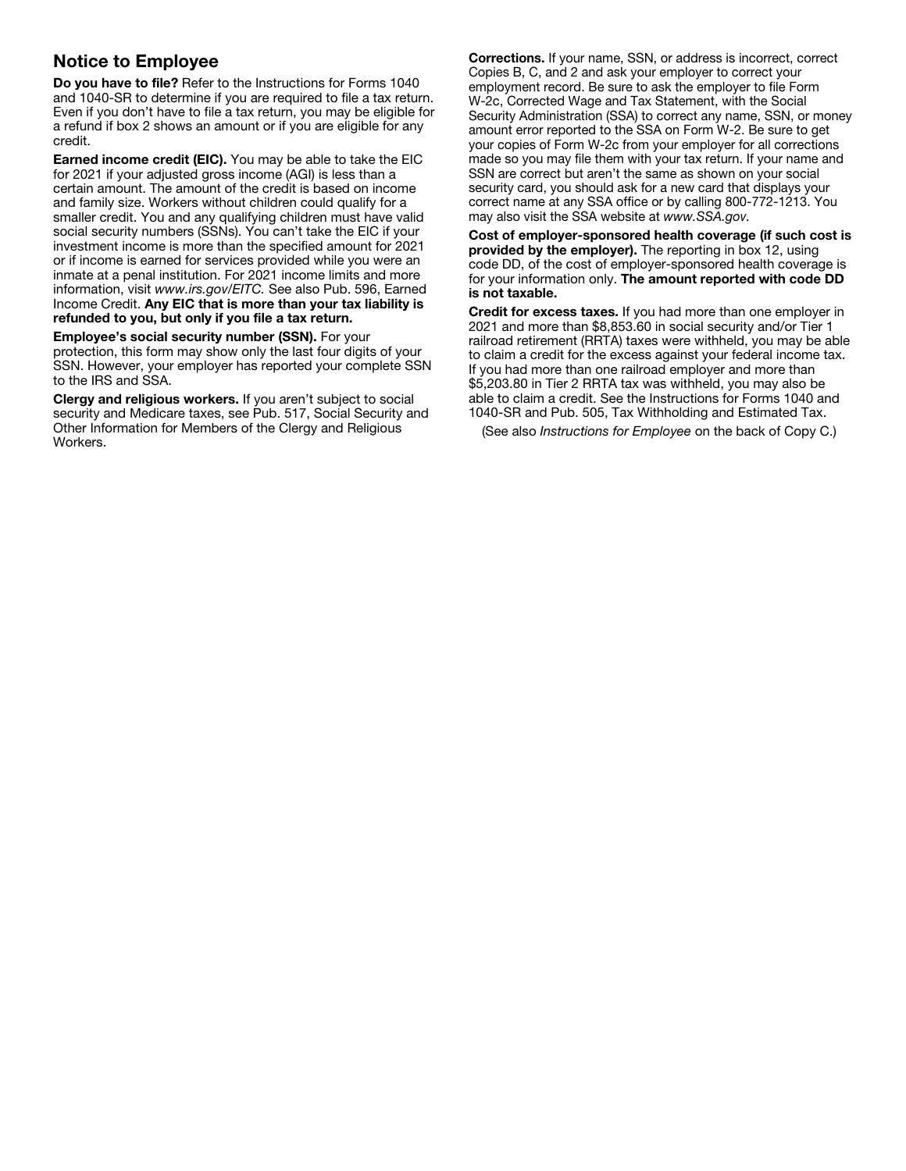## Notice to Employee

Do you have to file? Refer to the Instructions for Forms 1040 and 1040-SR to determine if you are required to file a tax return. Even if you don't have to file a tax return, you may be eligible for a refund if box 2 shows an amount or if you are eligible for any credit.

Earned income credit (EIC). You may be able to take the EIC for 2021 if your adjusted gross income (AGI) is less than a certain amount. The amount of the credit is based on income and family size. Workers without children could qualify for a smaller credit. You and any qualifying children must have valid social security numbers (SSNs). You can't take the EIC if your investment income is more than the specified amount for 2021 or if income is earned for services provided while you were an inmate at a penal institution. For 2021 income limits and more information, visit *www.irs.gov/EITC.* See also Pub. 596, Earned Income Credit. Any EIC that is more than your tax liability is refunded to you, but only if you file a tax return.

Employee's social security number (SSN). For your protection, this form may show only the last four digits of your SSN. However, your employer has reported your complete SSN to the IRS and SSA.

Clergy and religious workers. If you aren't subject to social security and Medicare taxes, see Pub. 517, Social Security and Other Information for Members of the Clergy and Religious Workers.

Corrections. If your name, SSN, or address is incorrect, correct Copies B, C, and 2 and ask your employer to correct your employment record. Be sure to ask the employer to file Form W-2c, Corrected Wage and Tax Statement, with the Social Security Administration (SSA) to correct any name, SSN, or money amount error reported to the SSA on Form W-2. Be sure to get your copies of Form W-2c from your employer for all corrections made so you may file them with your tax return. If your name and SSN are correct but aren't the same as shown on your social security card, you should ask for a new card that displays your correct name at any SSA office or by calling 800-772-1213. You may also visit the SSA website at *www.SSA.gov.*

Cost of employer-sponsored health coverage (if such cost is provided by the employer). The reporting in box 12, using code DD, of the cost of employer-sponsored health coverage is for your information only. The amount reported with code DD is not taxable.

Credit for excess taxes. If you had more than one employer in 2021 and more than \$8,853.60 in social security and/or Tier 1 railroad retirement (RRTA) taxes were withheld, you may be able to claim a credit for the excess against your federal income tax. If you had more than one railroad employer and more than \$5,203.80 in Tier 2 RRTA tax was withheld, you may also be able to claim a credit. See the Instructions for Forms 1040 and 1040-SR and Pub. 505, Tax Withholding and Estimated Tax.

(See also *Instructions for Employee* on the back of Copy C.)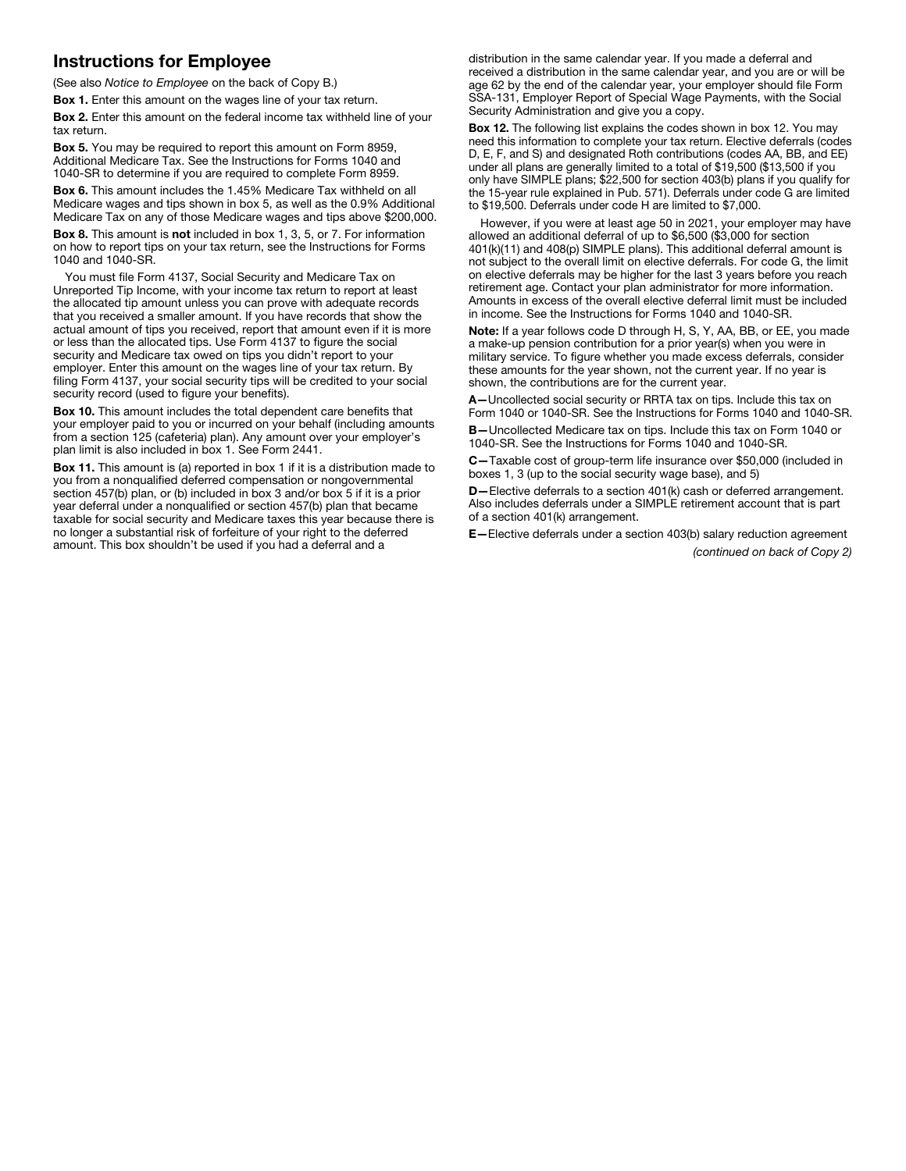## Instructions for Employee

(See also *Notice to Employee* on the back of Copy B.)

Box 1. Enter this amount on the wages line of your tax return.

Box 2. Enter this amount on the federal income tax withheld line of your tax return.

Box 5. You may be required to report this amount on Form 8959, Additional Medicare Tax. See the Instructions for Forms 1040 and 1040-SR to determine if you are required to complete Form 8959.

Box 6. This amount includes the 1.45% Medicare Tax withheld on all Medicare wages and tips shown in box 5, as well as the 0.9% Additional Medicare Tax on any of those Medicare wages and tips above \$200,000.

Box 8. This amount is not included in box 1, 3, 5, or 7. For information on how to report tips on your tax return, see the Instructions for Forms 1040 and 1040-SR.

You must file Form 4137, Social Security and Medicare Tax on Unreported Tip Income, with your income tax return to report at least the allocated tip amount unless you can prove with adequate records that you received a smaller amount. If you have records that show the actual amount of tips you received, report that amount even if it is more or less than the allocated tips. Use Form 4137 to figure the social security and Medicare tax owed on tips you didn't report to your employer. Enter this amount on the wages line of your tax return. By filing Form 4137, your social security tips will be credited to your social security record (used to figure your benefits).

Box 10. This amount includes the total dependent care benefits that your employer paid to you or incurred on your behalf (including amounts from a section 125 (cafeteria) plan). Any amount over your employer's plan limit is also included in box 1. See Form 2441.

Box 11. This amount is (a) reported in box 1 if it is a distribution made to you from a nonqualified deferred compensation or nongovernmental section 457(b) plan, or (b) included in box 3 and/or box 5 if it is a prior year deferral under a nonqualified or section 457(b) plan that became taxable for social security and Medicare taxes this year because there is no longer a substantial risk of forfeiture of your right to the deferred amount. This box shouldn't be used if you had a deferral and a

distribution in the same calendar year. If you made a deferral and received a distribution in the same calendar year, and you are or will be age 62 by the end of the calendar year, your employer should file Form SSA-131, Employer Report of Special Wage Payments, with the Social Security Administration and give you a copy.

Box 12. The following list explains the codes shown in box 12. You may need this information to complete your tax return. Elective deferrals (codes D, E, F, and S) and designated Roth contributions (codes AA, BB, and EE) under all plans are generally limited to a total of \$19,500 (\$13,500 if you only have SIMPLE plans; \$22,500 for section 403(b) plans if you qualify for the 15-year rule explained in Pub. 571). Deferrals under code G are limited to \$19,500. Deferrals under code H are limited to \$7,000.

However, if you were at least age 50 in 2021, your employer may have allowed an additional deferral of up to \$6,500 (\$3,000 for section 401(k)(11) and 408(p) SIMPLE plans). This additional deferral amount is not subject to the overall limit on elective deferrals. For code G, the limit on elective deferrals may be higher for the last 3 years before you reach retirement age. Contact your plan administrator for more information. Amounts in excess of the overall elective deferral limit must be included in income. See the Instructions for Forms 1040 and 1040-SR.

Note: If a year follows code D through H, S, Y, AA, BB, or EE, you made a make-up pension contribution for a prior year(s) when you were in military service. To figure whether you made excess deferrals, consider these amounts for the year shown, not the current year. If no year is shown, the contributions are for the current year.

A—Uncollected social security or RRTA tax on tips. Include this tax on Form 1040 or 1040-SR. See the Instructions for Forms 1040 and 1040-SR.

B—Uncollected Medicare tax on tips. Include this tax on Form 1040 or 1040-SR. See the Instructions for Forms 1040 and 1040-SR.

C—Taxable cost of group-term life insurance over \$50,000 (included in boxes 1, 3 (up to the social security wage base), and 5)

D—Elective deferrals to a section 401(k) cash or deferred arrangement. Also includes deferrals under a SIMPLE retirement account that is part of a section 401(k) arrangement.

E—Elective deferrals under a section 403(b) salary reduction agreement *(continued on back of Copy 2)*